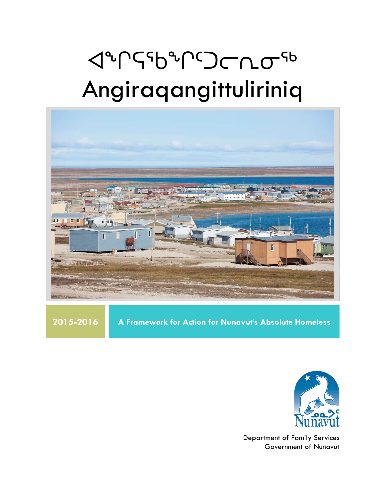# **JUS** Angiraqangittuliriniq



**2015-2016 A Framework for Action for Nunavut's Absolute Homeless**



Department of Family Services Government of Nunavut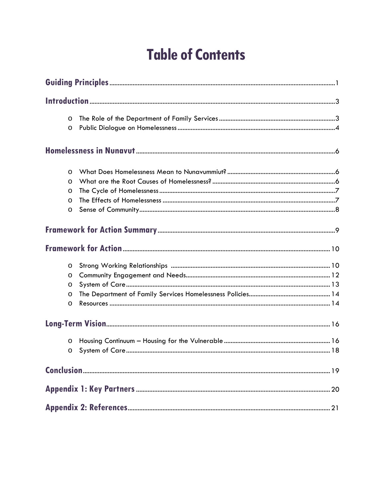# **Table of Contents**

| $\circ$ |  |  |  |
|---------|--|--|--|
| $\circ$ |  |  |  |
|         |  |  |  |
| $\circ$ |  |  |  |
| $\circ$ |  |  |  |
| $\circ$ |  |  |  |
| $\circ$ |  |  |  |
| $\circ$ |  |  |  |
|         |  |  |  |
|         |  |  |  |
| $\circ$ |  |  |  |
| $\circ$ |  |  |  |
| $\circ$ |  |  |  |
| $\circ$ |  |  |  |
| O       |  |  |  |
|         |  |  |  |
| $\circ$ |  |  |  |
| O       |  |  |  |
|         |  |  |  |
|         |  |  |  |
|         |  |  |  |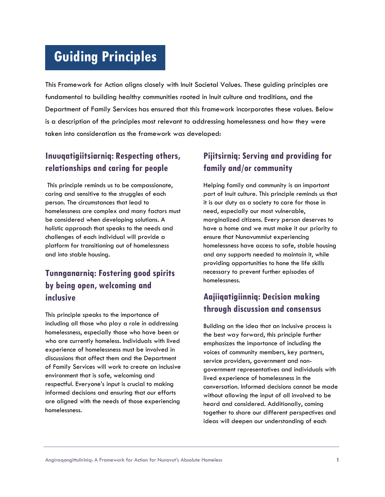# **Guiding Principles**

This Framework for Action aligns closely with Inuit Societal Values. These guiding principles are fundamental to building healthy communities rooted in Inuit culture and traditions, and the Department of Family Services has ensured that this framework incorporates these values. Below is a description of the principles most relevant to addressing homelessness and how they were taken into consideration as the framework was developed:

# **Inuuqatigiitsiarniq: Respecting others, relationships and caring for people**

This principle reminds us to be compassionate, caring and sensitive to the struggles of each person. The circumstances that lead to homelessness are complex and many factors must be considered when developing solutions. A holistic approach that speaks to the needs and challenges of each individual will provide a platform for transitioning out of homelessness and into stable housing.

# **Tunnganarniq: Fostering good spirits by being open, welcoming and inclusive**

This principle speaks to the importance of including all those who play a role in addressing homelessness, especially those who have been or who are currently homeless. Individuals with lived experience of homelessness must be involved in discussions that affect them and the Department of Family Services will work to create an inclusive environment that is safe, welcoming and respectful. Everyone's input is crucial to making informed decisions and ensuring that our efforts are aligned with the needs of those experiencing homelessness.

# **Pijitsirniq: Serving and providing for family and/or community**

Helping family and community is an important part of Inuit culture. This principle reminds us that it is our duty as a society to care for those in need, especially our most vulnerable, marginalized citizens. Every person deserves to have a home and we must make it our priority to ensure that Nunavummiut experiencing homelessness have access to safe, stable housing and any supports needed to maintain it, while providing opportunities to hone the life skills necessary to prevent further episodes of homelessness.

# **Aajiiqatigiinniq: Decision making through discussion and consensus**

Building on the idea that an inclusive process is the best way forward, this principle further emphasizes the importance of including the voices of community members, key partners, service providers, government and nongovernment representatives and individuals with lived experience of homelessness in the conversation. Informed decisions cannot be made without allowing the input of all involved to be heard and considered. Additionally, coming together to share our different perspectives and ideas will deepen our understanding of each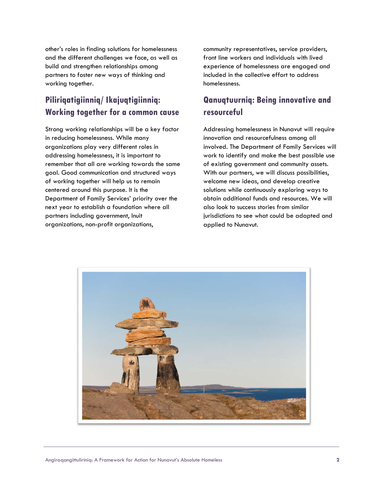other's roles in finding solutions for homelessness and the different challenges we face, as well as build and strengthen relationships among partners to foster new ways of thinking and working together.

# **Piliriqatigiinniq/ Ikajuqtigiinniq: Working together for a common cause**

Strong working relationships will be a key factor in reducing homelessness. While many organizations play very different roles in addressing homelessness, it is important to remember that all are working towards the same goal. Good communication and structured ways of working together will help us to remain centered around this purpose. It is the Department of Family Services' priority over the next year to establish a foundation where all partners including government, Inuit organizations, non-profit organizations,

community representatives, service providers, front line workers and individuals with lived experience of homelessness are engaged and included in the collective effort to address homelessness.

# **Qanuqtuurniq: Being innovative and resourceful**

Addressing homelessness in Nunavut will require innovation and resourcefulness among all involved. The Department of Family Services will work to identify and make the best possible use of existing government and community assets. With our partners, we will discuss possibilities, welcome new ideas, and develop creative solutions while continuously exploring ways to obtain additional funds and resources. We will also look to success stories from similar jurisdictions to see what could be adapted and applied to Nunavut.

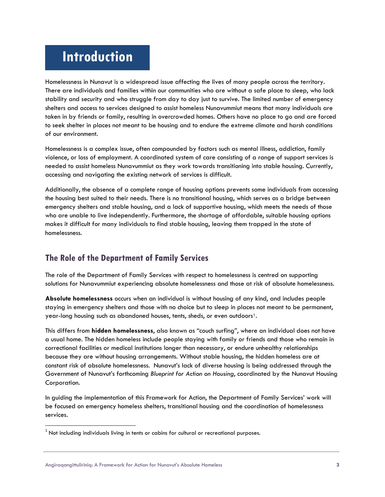# **Introduction**

Homelessness in Nunavut is a widespread issue affecting the lives of many people across the territory. There are individuals and families within our communities who are without a safe place to sleep, who lack stability and security and who struggle from day to day just to survive. The limited number of emergency shelters and access to services designed to assist homeless Nunavummiut means that many individuals are taken in by friends or family, resulting in overcrowded homes. Others have no place to go and are forced to seek shelter in places not meant to be housing and to endure the extreme climate and harsh conditions of our environment.

Homelessness is a complex issue, often compounded by factors such as mental illness, addiction, family violence, or loss of employment. A coordinated system of care consisting of a range of support services is needed to assist homeless Nunavummiut as they work towards transitioning into stable housing. Currently, accessing and navigating the existing network of services is difficult.

Additionally, the absence of a complete range of housing options prevents some individuals from accessing the housing best suited to their needs. There is no transitional housing, which serves as a bridge between emergency shelters and stable housing, and a lack of supportive housing, which meets the needs of those who are unable to live independently. Furthermore, the shortage of affordable, suitable housing options makes it difficult for many individuals to find stable housing, leaving them trapped in the state of homelessness.

## **The Role of the Department of Family Services**

The role of the Department of Family Services with respect to homelessness is centred on supporting solutions for Nunavummiut experiencing absolute homelessness and those at risk of absolute homelessness.

**Absolute homelessness** occurs when an individual is without housing of any kind, and includes people staying in emergency shelters and those with no choice but to sleep in places not meant to be permanent, year-long housing such as abandoned houses, tents, sheds, or even outdoors<sup>1</sup>.

This differs from **hidden homelessness**, also known as "couch surfing", where an individual does not have a usual home. The hidden homeless include people staying with family or friends and those who remain in correctional facilities or medical institutions longer than necessary, or endure unhealthy relationships because they are without housing arrangements. Without stable housing, the hidden homeless are at constant risk of absolute homelessness. Nunavut's lack of diverse housing is being addressed through the Government of Nunavut's forthcoming *Blueprint for Action on Housing*, coordinated by the Nunavut Housing Corporation.

In guiding the implementation of this Framework for Action, the Department of Family Services' work will be focused on emergency homeless shelters, transitional housing and the coordination of homelessness services.

 $\overline{a}$ 

<span id="page-4-0"></span> $1$  Not including individuals living in tents or cabins for cultural or recreational purposes.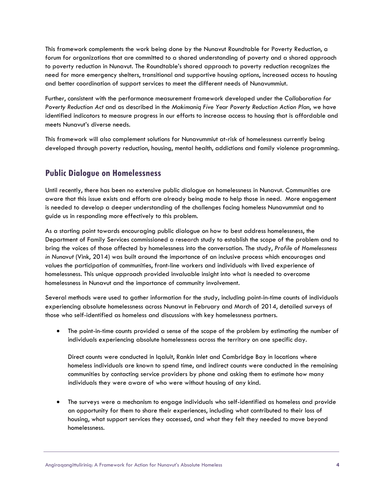This framework complements the work being done by the Nunavut Roundtable for Poverty Reduction, a forum for organizations that are committed to a shared understanding of poverty and a shared approach to poverty reduction in Nunavut. The Roundtable's shared approach to poverty reduction recognizes the need for more emergency shelters, transitional and supportive housing options, increased access to housing and better coordination of support services to meet the different needs of Nunavummiut.

Further, consistent with the performance measurement framework developed under the *Collaboration for Poverty Reduction Act* and as described in the *Makimaniq Five Year Poverty Reduction Action Plan*, we have identified indicators to measure progress in our efforts to increase access to housing that is affordable and meets Nunavut's diverse needs.

This framework will also complement solutions for Nunavummiut at-risk of homelessness currently being developed through poverty reduction, housing, mental health, addictions and family violence programming.

### **Public Dialogue on Homelessness**

Until recently, there has been no extensive public dialogue on homelessness in Nunavut. Communities are aware that this issue exists and efforts are already being made to help those in need. More engagement is needed to develop a deeper understanding of the challenges facing homeless Nunavummiut and to guide us in responding more effectively to this problem.

As a starting point towards encouraging public dialogue on how to best address homelessness, the Department of Family Services commissioned a research study to establish the scope of the problem and to bring the voices of those affected by homelessness into the conversation. The study, *Profile of Homelessness in Nunavut* (Vink, 2014) was built around the importance of an inclusive process which encourages and values the participation of communities, front-line workers and individuals with lived experience of homelessness. This unique approach provided invaluable insight into what is needed to overcome homelessness in Nunavut and the importance of community involvement.

Several methods were used to gather information for the study, including point-in-time counts of individuals experiencing absolute homelessness across Nunavut in February and March of 2014, detailed surveys of those who self-identified as homeless and discussions with key homelessness partners.

The point-in-time counts provided a sense of the scope of the problem by estimating the number of individuals experiencing absolute homelessness across the territory on one specific day.

Direct counts were conducted in Iqaluit, Rankin Inlet and Cambridge Bay in locations where homeless individuals are known to spend time, and indirect counts were conducted in the remaining communities by contacting service providers by phone and asking them to estimate how many individuals they were aware of who were without housing of any kind.

• The surveys were a mechanism to engage individuals who self-identified as homeless and provide an opportunity for them to share their experiences, including what contributed to their loss of housing, what support services they accessed, and what they felt they needed to move beyond homelessness.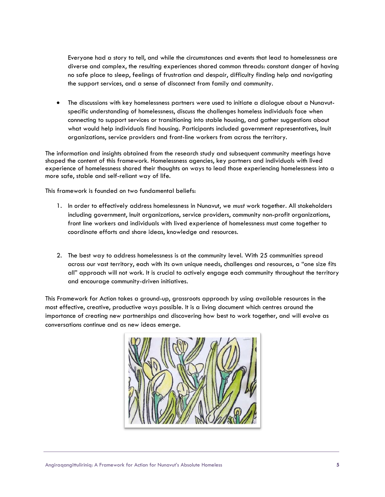Everyone had a story to tell, and while the circumstances and events that lead to homelessness are diverse and complex, the resulting experiences shared common threads: constant danger of having no safe place to sleep, feelings of frustration and despair, difficulty finding help and navigating the support services, and a sense of disconnect from family and community.

• The discussions with key homelessness partners were used to initiate a dialogue about a Nunavutspecific understanding of homelessness, discuss the challenges homeless individuals face when connecting to support services or transitioning into stable housing, and gather suggestions about what would help individuals find housing. Participants included government representatives, Inuit organizations, service providers and front-line workers from across the territory.

The information and insights obtained from the research study and subsequent community meetings have shaped the content of this framework. Homelessness agencies, key partners and individuals with lived experience of homelessness shared their thoughts on ways to lead those experiencing homelessness into a more safe, stable and self-reliant way of life.

This framework is founded on two fundamental beliefs:

- 1. In order to effectively address homelessness in Nunavut, we *must* work together. All stakeholders including government, Inuit organizations, service providers, community non-profit organizations, front line workers and individuals with lived experience of homelessness must come together to coordinate efforts and share ideas, knowledge and resources.
- 2. The best way to address homelessness is at the community level. With 25 communities spread across our vast territory, each with its own unique needs, challenges and resources, a "one size fits all" approach will not work. It is crucial to actively engage each community throughout the territory and encourage community-driven initiatives.

This Framework for Action takes a ground-up, grassroots approach by using available resources in the most effective, creative, productive ways possible. It is a living document which centres around the importance of creating new partnerships and discovering how best to work together, and will evolve as conversations continue and as new ideas emerge.

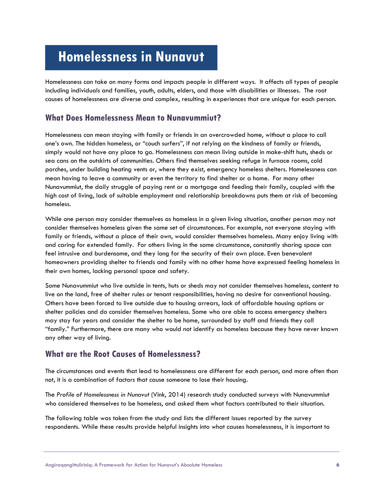# **Homelessness in Nunavut**

Homelessness can take on many forms and impacts people in different ways. It affects all types of people including individuals and families, youth, adults, elders, and those with disabilities or illnesses. The root causes of homelessness are diverse and complex, resulting in experiences that are unique for each person.

### **What Does Homelessness Mean to Nunavummiut?**

Homelessness can mean staying with family or friends in an overcrowded home, without a place to call one's own. The hidden homeless, or "couch surfers", if not relying on the kindness of family or friends, simply would not have any place to go. Homelessness can mean living outside in make-shift huts, sheds or sea cans on the outskirts of communities. Others find themselves seeking refuge in furnace rooms, cold porches, under building heating vents or, where they exist, emergency homeless shelters. Homelessness can mean having to leave a community or even the territory to find shelter or a home. For many other Nunavummiut, the daily struggle of paying rent or a mortgage and feeding their family, coupled with the high cost of living, lack of suitable employment and relationship breakdowns puts them at risk of becoming homeless.

While one person may consider themselves as homeless in a given living situation, another person may not consider themselves homeless given the same set of circumstances. For example, not everyone staying with family or friends, without a place of their own, would consider themselves homeless. Many enjoy living with and caring for extended family. For others living in the same circumstance, constantly sharing space can feel intrusive and burdensome, and they long for the security of their own place. Even benevolent homeowners providing shelter to friends and family with no other home have expressed feeling homeless in their own homes, lacking personal space and safety.

Some Nunavummiut who live outside in tents, huts or sheds may not consider themselves homeless, content to live on the land, free of shelter rules or tenant responsibilities, having no desire for conventional housing. Others have been forced to live outside due to housing arrears, lack of affordable housing options or shelter policies and do consider themselves homeless. Some who are able to access emergency shelters may stay for years and consider the shelter to be home, surrounded by staff and friends they call "family." Furthermore, there are many who would not identify as homeless because they have never known any other way of living.

### **What are the Root Causes of Homelessness?**

The circumstances and events that lead to homelessness are different for each person, and more often than not, it is a combination of factors that cause someone to lose their housing.

The *Profile of Homelessness in Nunavut* (Vink, 2014) research study conducted surveys with Nunavummiut who considered themselves to be homeless, and asked them what factors contributed to their situation.

The following table was taken from the study and lists the different issues reported by the survey respondents. While these results provide helpful insights into what causes homelessness, it is important to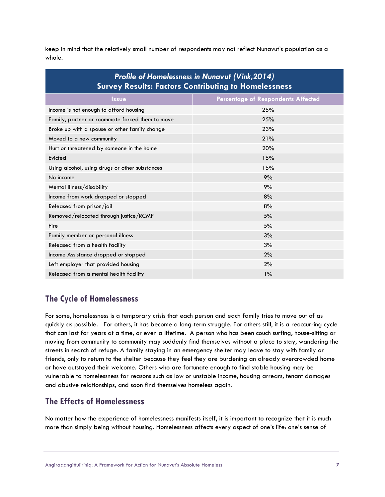keep in mind that the relatively small number of respondents may not reflect Nunavut's population as a whole.

| <b>Profile of Homelessness in Nunavut (Vink, 2014)</b><br><b>Survey Results: Factors Contributing to Homelessness</b> |                                           |  |  |
|-----------------------------------------------------------------------------------------------------------------------|-------------------------------------------|--|--|
| <b>Issue</b>                                                                                                          | <b>Percentage of Respondents Affected</b> |  |  |
| Income is not enough to afford housing                                                                                | 25%                                       |  |  |
| Family, partner or roommate forced them to move                                                                       | 25%                                       |  |  |
| Broke up with a spouse or other family change                                                                         | 23%                                       |  |  |
| Moved to a new community                                                                                              | 21%                                       |  |  |
| Hurt or threatened by someone in the home                                                                             | 20%                                       |  |  |
| Evicted                                                                                                               | 15%                                       |  |  |
| Using alcohol, using drugs or other substances                                                                        | 15%                                       |  |  |
| No income                                                                                                             | 9%                                        |  |  |
| Mental Illness/disability                                                                                             | 9%                                        |  |  |
| Income from work dropped or stopped                                                                                   | 8%                                        |  |  |
| Released from prison/jail                                                                                             | 8%                                        |  |  |
| Removed/relocated through justice/RCMP                                                                                | 5%                                        |  |  |
| Fire                                                                                                                  | 5%                                        |  |  |
| Family member or personal illness                                                                                     | 3%                                        |  |  |
| Released from a health facility                                                                                       | 3%                                        |  |  |
| Income Assistance dropped or stopped                                                                                  | 2%                                        |  |  |
| Left employer that provided housing                                                                                   | 2%                                        |  |  |
| Released from a mental health facility                                                                                | $1\%$                                     |  |  |

## **The Cycle of Homelessness**

For some, homelessness is a temporary crisis that each person and each family tries to move out of as quickly as possible. For others, it has become a long-term struggle. For others still, it is a reoccurring cycle that can last for years at a time, or even a lifetime. A person who has been couch surfing, house-sitting or moving from community to community may suddenly find themselves without a place to stay, wandering the streets in search of refuge. A family staying in an emergency shelter may leave to stay with family or friends, only to return to the shelter because they feel they are burdening an already overcrowded home or have outstayed their welcome. Others who are fortunate enough to find stable housing may be vulnerable to homelessness for reasons such as low or unstable income, housing arrears, tenant damages and abusive relationships, and soon find themselves homeless again.

# **The Effects of Homelessness**

No matter how the experience of homelessness manifests itself, it is important to recognize that it is much more than simply being without housing. Homelessness affects every aspect of one's life: one's sense of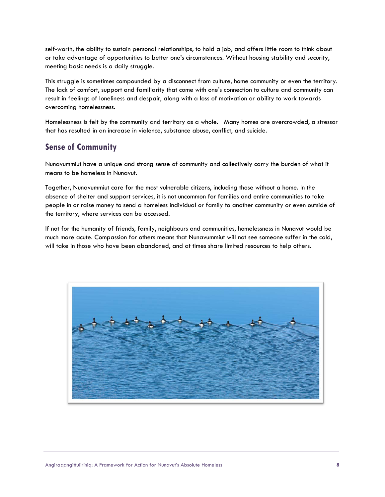self-worth, the ability to sustain personal relationships, to hold a job, and offers little room to think about or take advantage of opportunities to better one's circumstances. Without housing stability and security, meeting basic needs is a daily struggle.

This struggle is sometimes compounded by a disconnect from culture, home community or even the territory. The lack of comfort, support and familiarity that come with one's connection to culture and community can result in feelings of loneliness and despair, along with a loss of motivation or ability to work towards overcoming homelessness.

Homelessness is felt by the community and territory as a whole. Many homes are overcrowded, a stressor that has resulted in an increase in violence, substance abuse, conflict, and suicide.

## **Sense of Community**

Nunavummiut have a unique and strong sense of community and collectively carry the burden of what it means to be homeless in Nunavut.

Together, Nunavummiut care for the most vulnerable citizens, including those without a home. In the absence of shelter and support services, it is not uncommon for families and entire communities to take people in or raise money to send a homeless individual or family to another community or even outside of the territory, where services can be accessed.

If not for the humanity of friends, family, neighbours and communities, homelessness in Nunavut would be much more acute. Compassion for others means that Nunavummiut will not see someone suffer in the cold, will take in those who have been abandoned, and at times share limited resources to help others.

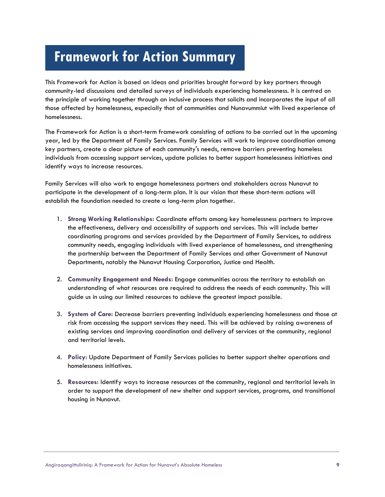# **Framework for Action Summary**

This Framework for Action is based on ideas and priorities brought forward by key partners through community-led discussions and detailed surveys of individuals experiencing homelessness. It is centred on the principle of working together through an inclusive process that solicits and incorporates the input of all those affected by homelessness, especially that of communities and Nunavummiut with lived experience of homelessness.

The Framework for Action is a short-term framework consisting of actions to be carried out in the upcoming year, led by the Department of Family Services. Family Services will work to improve coordination among key partners, create a clear picture of each community's needs, remove barriers preventing homeless individuals from accessing support services, update policies to better support homelessness initiatives and identify ways to increase resources.

Family Services will also work to engage homelessness partners and stakeholders across Nunavut to participate in the development of a long-term plan. It is our vision that these short-term actions will establish the foundation needed to create a long-term plan together.

- 1. **Strong Working Relationships:** Coordinate efforts among key homelessness partners to improve the effectiveness, delivery and accessibility of supports and services. This will include better coordinating programs and services provided by the Department of Family Services, to address community needs, engaging individuals with lived experience of homelessness, and strengthening the partnership between the Department of Family Services and other Government of Nunavut Departments, notably the Nunavut Housing Corporation, Justice and Health.
- 2. **Community Engagement and Needs:** Engage communities across the territory to establish an understanding of what resources are required to address the needs of each community. This will guide us in using our limited resources to achieve the greatest impact possible.
- 3. **System of Care:** Decrease barriers preventing individuals experiencing homelessness and those at risk from accessing the support services they need. This will be achieved by raising awareness of existing services and improving coordination and delivery of services at the community, regional and territorial levels.
- 4. **Policy:** Update Department of Family Services policies to better support shelter operations and homelessness initiatives.
- 5. **Resources:** Identify ways to increase resources at the community, regional and territorial levels in order to support the development of new shelter and support services, programs, and transitional housing in Nunavut.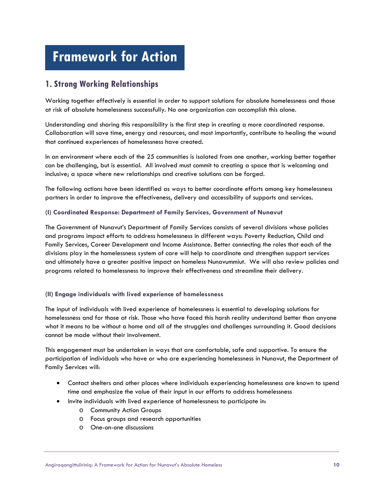# **Framework for Action**

# **1. Strong Working Relationships**

Working together effectively is essential in order to support solutions for absolute homelessness and those at risk of absolute homelessness successfully. No one organization can accomplish this alone.

Understanding and sharing this responsibility is the first step in creating a more coordinated response. Collaboration will save time, energy and resources, and most importantly, contribute to healing the wound that continued experiences of homelessness have created.

In an environment where each of the 25 communities is isolated from one another, working better together can be challenging, but is essential. All involved must commit to creating a space that is welcoming and inclusive; a space where new relationships and creative solutions can be forged.

The following actions have been identified as ways to better coordinate efforts among key homelessness partners in order to improve the effectiveness, delivery and accessibility of supports and services.

#### **(I) Coordinated Response: Department of Family Services, Government of Nunavut**

The Government of Nunavut's Department of Family Services consists of several divisions whose policies and programs impact efforts to address homelessness in different ways: Poverty Reduction, Child and Family Services, Career Development and Income Assistance. Better connecting the roles that each of the divisions play in the homelessness system of care will help to coordinate and strengthen support services and ultimately have a greater positive impact on homeless Nunavummiut. We will also review policies and programs related to homelessness to improve their effectiveness and streamline their delivery.

#### **(II) Engage individuals with lived experience of homelessness**

The input of individuals with lived experience of homelessness is essential to developing solutions for homelessness and for those at risk. Those who have faced this harsh reality understand better than anyone what it means to be without a home and all of the struggles and challenges surrounding it. Good decisions cannot be made without their involvement.

This engagement must be undertaken in ways that are comfortable, safe and supportive. To ensure the participation of individuals who have or who are experiencing homelessness in Nunavut, the Department of Family Services will:

- Contact shelters and other places where individuals experiencing homelessness are known to spend time and emphasize the value of their input in our efforts to address homelessness
- Invite individuals with lived experience of homelessness to participate in:
	- o Community Action Groups
	- o Focus groups and research opportunities
	- o One-on-one discussions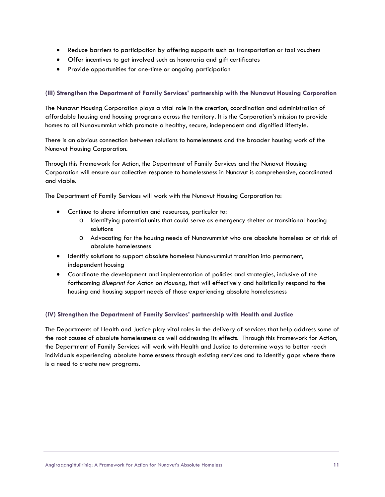- Reduce barriers to participation by offering supports such as transportation or taxi vouchers
- Offer incentives to get involved such as honoraria and gift certificates
- Provide opportunities for one-time or ongoing participation

#### **(III) Strengthen the Department of Family Services' partnership with the Nunavut Housing Corporation**

The Nunavut Housing Corporation plays a vital role in the creation, coordination and administration of affordable housing and housing programs across the territory. It is the Corporation's mission to provide homes to all Nunavummiut which promote a healthy, secure, independent and dignified lifestyle.

There is an obvious connection between solutions to homelessness and the broader housing work of the Nunavut Housing Corporation.

Through this Framework for Action, the Department of Family Services and the Nunavut Housing Corporation will ensure our collective response to homelessness in Nunavut is comprehensive, coordinated and viable.

The Department of Family Services will work with the Nunavut Housing Corporation to:

- Continue to share information and resources, particular to:
	- o Identifying potential units that could serve as emergency shelter or transitional housing solutions
	- o Advocating for the housing needs of Nunavummiut who are absolute homeless or at risk of absolute homelessness
- Identify solutions to support absolute homeless Nunavummiut transition into permanent, independent housing
- Coordinate the development and implementation of policies and strategies, inclusive of the forthcoming *Blueprint for Action on Housing*, that will effectively and holistically respond to the housing and housing support needs of those experiencing absolute homelessness

#### **(IV) Strengthen the Department of Family Services' partnership with Health and Justice**

The Departments of Health and Justice play vital roles in the delivery of services that help address some of the root causes of absolute homelessness as well addressing its effects. Through this Framework for Action, the Department of Family Services will work with Health and Justice to determine ways to better reach individuals experiencing absolute homelessness through existing services and to identify gaps where there is a need to create new programs.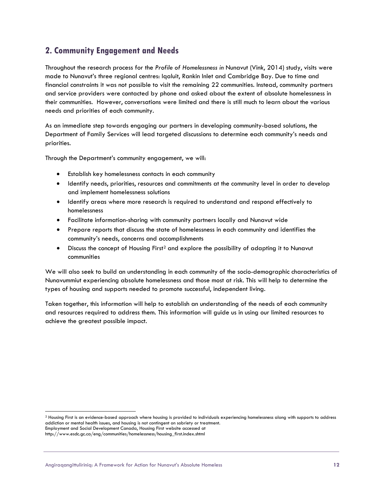## **2. Community Engagement and Needs**

Throughout the research process for the *Profile of Homelessness in* Nunavut (Vink, 2014) study, visits were made to Nunavut's three regional centres: Iqaluit, Rankin Inlet and Cambridge Bay. Due to time and financial constraints it was not possible to visit the remaining 22 communities. Instead, community partners and service providers were contacted by phone and asked about the extent of absolute homelessness in their communities. However, conversations were limited and there is still much to learn about the various needs and priorities of each community.

As an immediate step towards engaging our partners in developing community-based solutions, the Department of Family Services will lead targeted discussions to determine each community's needs and priorities.

Through the Department's community engagement, we will:

- Establish key homelessness contacts in each community
- Identify needs, priorities, resources and commitments at the community level in order to develop and implement homelessness solutions
- Identify areas where more research is required to understand and respond effectively to homelessness
- Facilitate information-sharing with community partners locally and Nunavut wide
- Prepare reports that discuss the state of homelessness in each community and identifies the community's needs, concerns and accomplishments
- Discuss the concept of Housing First<sup>[2](#page-13-0)</sup> and explore the possibility of adapting it to Nunavut communities

We will also seek to build an understanding in each community of the socio-demographic characteristics of Nunavummiut experiencing absolute homelessness and those most at risk. This will help to determine the types of housing and supports needed to promote successful, independent living.

Taken together, this information will help to establish an understanding of the needs of each community and resources required to address them. This information will guide us in using our limited resources to achieve the greatest possible impact.

l

<span id="page-13-0"></span><sup>&</sup>lt;sup>2</sup> Housing First is an evidence-based approach where housing is provided to individuals experiencing homelessness along with supports to address addiction or mental health issues, and housing is not contingent on sobriety or treatment. Employment and Social Development Canada, Housing First website accessed at

http://www.esdc.gc.ca/eng/communities/homelessness/housing\_first.index.shtml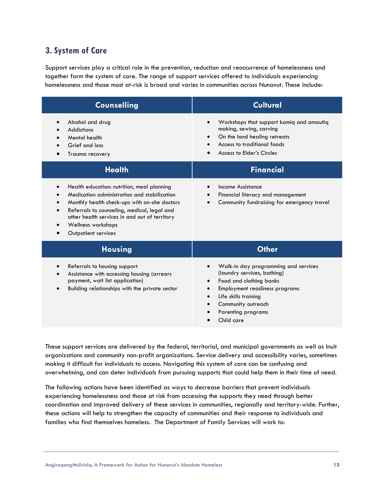### **3. System of Care**

Support services play a critical role in the prevention, reduction and reoccurrence of homelessness and together form the system of care. The range of support services offered to individuals experiencing homelessness and those most at-risk is broad and varies in communities across Nunavut. These include:

| <b>Counselling</b>                                                                                                                                                                                                                                                                                   | <b>Cultural</b>                                                                                                                                                                                                                                    |
|------------------------------------------------------------------------------------------------------------------------------------------------------------------------------------------------------------------------------------------------------------------------------------------------------|----------------------------------------------------------------------------------------------------------------------------------------------------------------------------------------------------------------------------------------------------|
| Alcohol and drug<br>Addictions<br>Mental health<br>Grief and loss<br>Trauma recovery                                                                                                                                                                                                                 | Workshops that support kamiq and amautiq<br>$\bullet$<br>making, sewing, carving<br>On the land healing retreats<br>Access to traditional foods<br>Access to Elder's Circles                                                                       |
| <b>Health</b>                                                                                                                                                                                                                                                                                        | <b>Financial</b>                                                                                                                                                                                                                                   |
| Health education: nutrition, meal planning<br>$\bullet$<br>Medication administration and stabilization<br>Monthly health check-ups with on-site doctors<br>Referrals to counseling, medical, legal and<br>other health services in and out of territory<br>Wellness workshops<br>Outpatient services | Income Assistance<br>Financial literacy and management<br>Community fundraising for emergency travel                                                                                                                                               |
| <b>Housing</b>                                                                                                                                                                                                                                                                                       | <b>Other</b>                                                                                                                                                                                                                                       |
| Referrals to housing support<br>Assistance with accessing housing (arrears<br>payment, wait list application)<br>Building relationships with the private sector                                                                                                                                      | Walk-in day programming and services<br>$\bullet$<br>(laundry services, bathing)<br>Food and clothing banks<br>$\bullet$<br><b>Employment readiness programs</b><br>Life skills training<br>Community outreach<br>Parenting programs<br>Child care |

These support services are delivered by the federal, territorial, and municipal governments as well as Inuit organizations and community non-profit organizations. Service delivery and accessibility varies, sometimes making it difficult for individuals to access. Navigating this system of care can be confusing and overwhelming, and can deter individuals from pursuing supports that could help them in their time of need.

The following actions have been identified as ways to decrease barriers that prevent individuals experiencing homelessness and those at risk from accessing the supports they need through better coordination and improved delivery of these services in communities, regionally and territory-wide. Further, these actions will help to strengthen the capacity of communities and their response to individuals and families who find themselves homeless. The Department of Family Services will work to: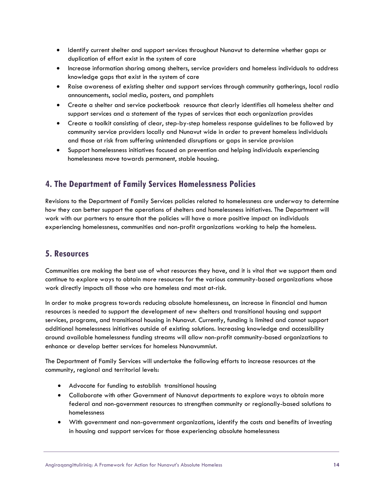- Identify current shelter and support services throughout Nunavut to determine whether gaps or duplication of effort exist in the system of care
- Increase information sharing among shelters, service providers and homeless individuals to address knowledge gaps that exist in the system of care
- Raise awareness of existing shelter and support services through community gatherings, local radio announcements, social media, posters, and pamphlets
- Create a shelter and service pocketbook resource that clearly identifies all homeless shelter and support services and a statement of the types of services that each organization provides
- Create a toolkit consisting of clear, step-by-step homeless response guidelines to be followed by community service providers locally and Nunavut wide in order to prevent homeless individuals and those at risk from suffering unintended disruptions or gaps in service provision
- Support homelessness initiatives focused on prevention and helping individuals experiencing homelessness move towards permanent, stable housing.

### **4. The Department of Family Services Homelessness Policies**

Revisions to the Department of Family Services policies related to homelessness are underway to determine how they can better support the operations of shelters and homelessness initiatives. The Department will work with our partners to ensure that the policies will have a more positive impact on individuals experiencing homelessness, communities and non-profit organizations working to help the homeless.

### **5. Resources**

Communities are making the best use of what resources they have, and it is vital that we support them and continue to explore ways to obtain more resources for the various community-based organizations whose work directly impacts all those who are homeless and most at-risk.

In order to make progress towards reducing absolute homelessness, an increase in financial and human resources is needed to support the development of new shelters and transitional housing and support services, programs, and transitional housing in Nunavut. Currently, funding is limited and cannot support additional homelessness initiatives outside of existing solutions. Increasing knowledge and accessibility around available homelessness funding streams will allow non-profit community-based organizations to enhance or develop better services for homeless Nunavummiut.

The Department of Family Services will undertake the following efforts to increase resources at the community, regional and territorial levels:

- Advocate for funding to establish transitional housing
- Collaborate with other Government of Nunavut departments to explore ways to obtain more federal and non-government resources to strengthen community or regionally-based solutions to homelessness
- With government and non-government organizations, identify the costs and benefits of investing in housing and support services for those experiencing absolute homelessness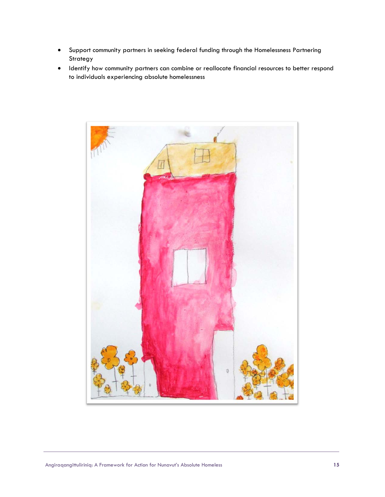- Support community partners in seeking federal funding through the Homelessness Partnering Strategy
- Identify how community partners can combine or reallocate financial resources to better respond to individuals experiencing absolute homelessness

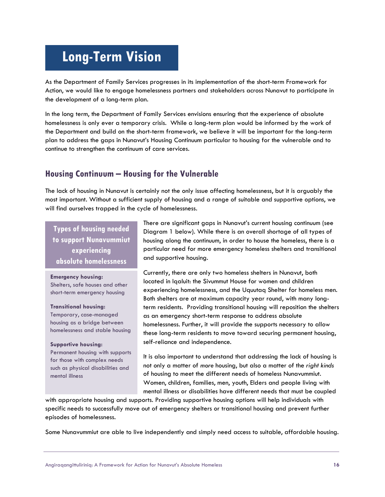# **Long-Term Vision**

As the Department of Family Services progresses in its implementation of the short-term Framework for Action, we would like to engage homelessness partners and stakeholders across Nunavut to participate in the development of a long-term plan.

In the long term, the Department of Family Services envisions ensuring that the experience of absolute homelessness is only ever a temporary crisis. While a long-term plan would be informed by the work of the Department and build on the short-term framework, we believe it will be important for the long-term plan to address the gaps in Nunavut's Housing Continuum particular to housing for the vulnerable and to continue to strengthen the continuum of care services.

### **Housing Continuum – Housing for the Vulnerable**

The lack of housing in Nunavut is certainly not the only issue affecting homelessness, but it is arguably the most important. Without a sufficient supply of housing and a range of suitable and supportive options, we will find ourselves trapped in the cycle of homelessness.

**Types of housing needed to support Nunavummiut experiencing absolute homelessness**

#### **Emergency housing:**

Shelters, safe houses and other short-term emergency housing

**Transitional housing:**

Temporary, case-managed housing as a bridge between homelessness and stable housing

#### **Supportive housing:**

Permanent housing with supports for those with complex needs such as physical disabilities and mental illness

There are significant gaps in Nunavut's current housing continuum (see Diagram 1 below). While there is an overall shortage of all types of housing along the continuum, in order to house the homeless, there is a particular need for more emergency homeless shelters and transitional and supportive housing.

Currently, there are only two homeless shelters in Nunavut, both located in Iqaluit: the Sivummut House for women and children experiencing homelessness, and the Uquutaq Shelter for homeless men. Both shelters are at maximum capacity year round, with many longterm residents. Providing transitional housing will reposition the shelters as an emergency short-term response to address absolute homelessness. Further, it will provide the supports necessary to allow these long-term residents to move toward securing permanent housing, self-reliance and independence.

It is also important to understand that addressing the lack of housing is not only a matter of *more* housing, but also a matter of the *right kinds*  of housing to meet the different needs of homeless Nunavummiut. Women, children, families, men, youth, Elders and people living with mental illness or disabilities have different needs that must be coupled

with appropriate housing and supports. Providing supportive housing options will help individuals with specific needs to successfully move out of emergency shelters or transitional housing and prevent further episodes of homelessness.

Some Nunavummiut are able to live independently and simply need access to suitable, affordable housing.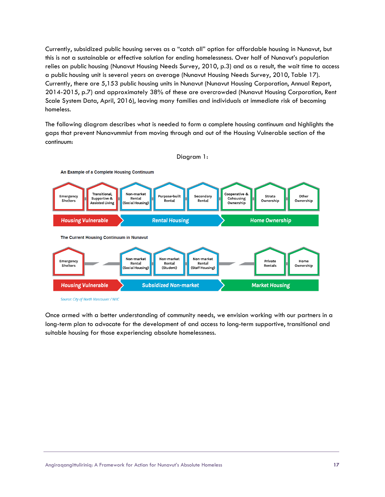Currently, subsidized public housing serves as a "catch all" option for affordable housing in Nunavut, but this is not a sustainable or effective solution for ending homelessness. Over half of Nunavut's population relies on public housing (Nunavut Housing Needs Survey, 2010, p.3) and as a result, the wait time to access a public housing unit is several years on average (Nunavut Housing Needs Survey, 2010, Table 17). Currently, there are 5,153 public housing units in Nunavut (Nunavut Housing Corporation, Annual Report, 2014-2015, p.7) and approximately 38% of these are overcrowded (Nunavut Housing Corporation, Rent Scale System Data, April, 2016), leaving many families and individuals at immediate risk of becoming homeless.

The following diagram describes what is needed to form a complete housing continuum and highlights the gaps that prevent Nunavummiut from moving through and out of the Housing Vulnerable section of the continuum:



Once armed with a better understanding of community needs, we envision working with our partners in a long-term plan to advocate for the development of and access to long-term supportive, transitional and suitable housing for those experiencing absolute homelessness.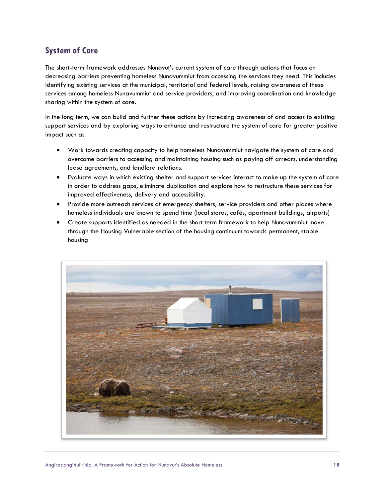# **System of Care**

The short-term framework addresses Nunavut's current system of care through actions that focus on decreasing barriers preventing homeless Nunavummiut from accessing the services they need. This includes identifying existing services at the municipal, territorial and federal levels, raising awareness of these services among homeless Nunavummiut and service providers, and improving coordination and knowledge sharing within the system of care.

In the long term, we can build and further these actions by increasing awareness of and access to existing support services and by exploring ways to enhance and restructure the system of care for greater positive impact such as

- Work towards creating capacity to help homeless Nunavummiut navigate the system of care and overcome barriers to accessing and maintaining housing such as paying off arrears, understanding lease agreements, and landlord relations.
- Evaluate ways in which existing shelter and support services interact to make up the system of care in order to address gaps, eliminate duplication and explore how to restructure these services for improved effectiveness, delivery and accessibility.
- Provide more outreach services at emergency shelters, service providers and other places where homeless individuals are known to spend time (local stores, cafés, apartment buildings, airports)
- Create supports identified as needed in the short term framework to help Nunavummiut move through the Housing Vulnerable section of the housing continuum towards permanent, stable housing

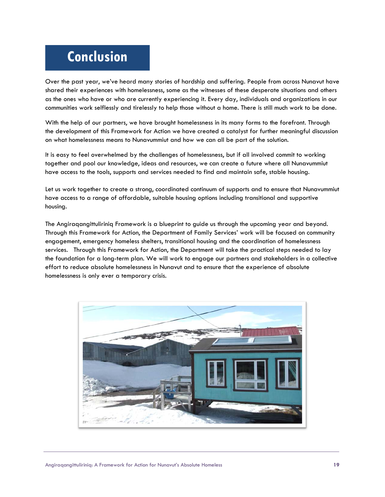# **Conclusion**

Over the past year, we've heard many stories of hardship and suffering. People from across Nunavut have shared their experiences with homelessness, some as the witnesses of these desperate situations and others as the ones who have or who are currently experiencing it. Every day, individuals and organizations in our communities work selflessly and tirelessly to help those without a home. There is still much work to be done.

With the help of our partners, we have brought homelessness in its many forms to the forefront. Through the development of this Framework for Action we have created a catalyst for further meaningful discussion on what homelessness means to Nunavummiut and how we can all be part of the solution.

It is easy to feel overwhelmed by the challenges of homelessness, but if all involved commit to working together and pool our knowledge, ideas and resources, we can create a future where all Nunavummiut have access to the tools, supports and services needed to find and maintain safe, stable housing.

Let us work together to create a strong, coordinated continuum of supports and to ensure that Nunavummiut have access to a range of affordable, suitable housing options including transitional and supportive housing.

The Angiraqangittuliriniq Framework is a blueprint to guide us through the upcoming year and beyond. Through this Framework for Action, the Department of Family Services' work will be focused on community engagement, emergency homeless shelters, transitional housing and the coordination of homelessness services. Through this Framework for Action, the Department will take the practical steps needed to lay the foundation for a long-term plan. We will work to engage our partners and stakeholders in a collective effort to reduce absolute homelessness in Nunavut and to ensure that the experience of absolute homelessness is only ever a temporary crisis.

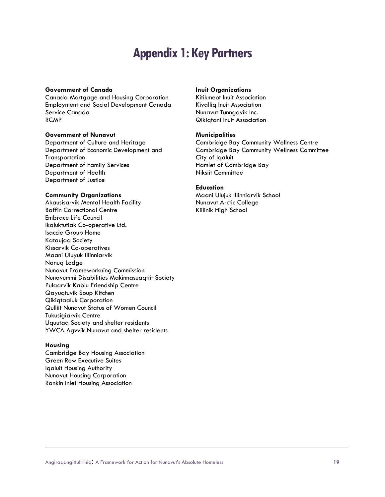# **Appendix 1: Key Partners**

#### **Government of Canada**

Canada Mortgage and Housing Corporation Employment and Social Development Canada Service Canada RCMP

#### **Government of Nunavut**

Department of Culture and Heritage Department of Economic Development and **Transportation** Department of Family Services Department of Health Department of Justice

#### **Community Organizations**

Akausisarvik Mental Health Facility Baffin Correctional Centre Embrace Life Council Ikaluktutiak Co-operative Ltd. Isaccie Group Home Kataujaq Society Kissarvik Co-operatives Maani Uluyuk Illinniarvik Nanuq Lodge Nunavut Frameworkning Commission Nunavummi Disabilities Makinnasuaqtiit Society Pulaarvik Kablu Friendship Centre Qayuqtuvik Soup Kitchen Qikiqtaaluk Corporation Qulliit Nunavut Status of Women Council Tukusigiarvik Centre Uquutaq Society and shelter residents YWCA Agvvik Nunavut and shelter residents

#### **Housing**

Cambridge Bay Housing Association Green Row Executive Suites Iqaluit Housing Authority Nunavut Housing Corporation Rankin Inlet Housing Association

#### **Inuit Organizations**

Kitikmeot Inuit Association Kivalliq Inuit Association Nunavut Tunngavik Inc. Qikiqtani Inuit Association

#### **Municipalities**

Cambridge Bay Community Wellness Centre Cambridge Bay Community Wellness Committee City of Iqaluit Hamlet of Cambridge Bay Niksiit Committee

#### **Education**

Maani Ulujuk Illinniarvik School Nunavut Arctic College Kiilinik High School